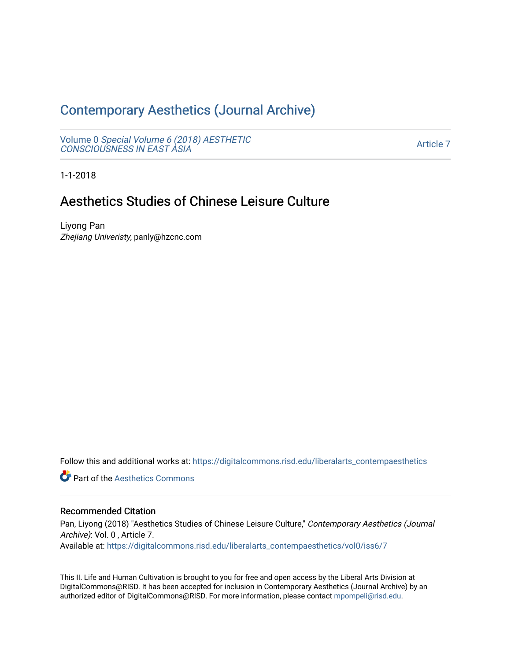# [Contemporary Aesthetics \(Journal Archive\)](https://digitalcommons.risd.edu/liberalarts_contempaesthetics)

Volume 0 [Special Volume 6 \(2018\) AESTHETIC](https://digitalcommons.risd.edu/liberalarts_contempaesthetics/vol0) [CONSCIOUSNESS IN EAST ASIA](https://digitalcommons.risd.edu/liberalarts_contempaesthetics/vol0)

[Article 7](https://digitalcommons.risd.edu/liberalarts_contempaesthetics/vol0/iss6/7) 

1-1-2018

# Aesthetics Studies of Chinese Leisure Culture

Liyong Pan Zhejiang Univeristy, panly@hzcnc.com

Follow this and additional works at: [https://digitalcommons.risd.edu/liberalarts\\_contempaesthetics](https://digitalcommons.risd.edu/liberalarts_contempaesthetics?utm_source=digitalcommons.risd.edu%2Fliberalarts_contempaesthetics%2Fvol0%2Fiss6%2F7&utm_medium=PDF&utm_campaign=PDFCoverPages) 

**Part of the Aesthetics Commons** 

# Recommended Citation

Pan, Liyong (2018) "Aesthetics Studies of Chinese Leisure Culture," Contemporary Aesthetics (Journal Archive): Vol. 0 , Article 7.

Available at: [https://digitalcommons.risd.edu/liberalarts\\_contempaesthetics/vol0/iss6/7](https://digitalcommons.risd.edu/liberalarts_contempaesthetics/vol0/iss6/7?utm_source=digitalcommons.risd.edu%2Fliberalarts_contempaesthetics%2Fvol0%2Fiss6%2F7&utm_medium=PDF&utm_campaign=PDFCoverPages)

This II. Life and Human Cultivation is brought to you for free and open access by the Liberal Arts Division at DigitalCommons@RISD. It has been accepted for inclusion in Contemporary Aesthetics (Journal Archive) by an authorized editor of DigitalCommons@RISD. For more information, please contact [mpompeli@risd.edu.](mailto:mpompeli@risd.edu)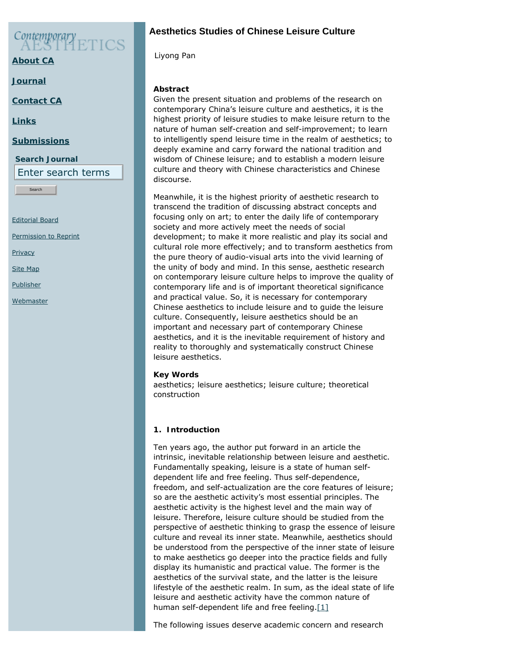$\mathcal{C}$ ontemporary

**[About CA](https://www.contempaesthetics.org/pages/about.html)**

**[Journal](https://www.contempaesthetics.org/newvolume/pages/journal.php)**

**[Contact CA](https://www.contempaesthetics.org/pages/contact.html)**

**[Links](https://www.contempaesthetics.org/pages/links.html)**

#### **[Submissions](https://www.contempaesthetics.org/pages/guidelines.html)**

**Search Journal**

Enter search terms

Search

[Editorial Board](https://www.contempaesthetics.org/pages/editorialboard.html)

[Permission to Reprint](https://www.contempaesthetics.org/pages/reprint.html)

**[Privacy](https://www.contempaesthetics.org/pages/privacy.html)** 

[Site Map](https://www.contempaesthetics.org/pages/sitemap.html)

[Publisher](https://www.contempaesthetics.org/pages/publisher.html)

**[Webmaster](mailto:webmaster@contempaesthetics.org)** 

# **Aesthetics Studies of Chinese Leisure Culture**

 *Liyong Pan*

# **Abstract**

Given the present situation and problems of the research on contemporary China's leisure culture and aesthetics, it is the highest priority of leisure studies to make leisure return to the nature of human self-creation and self-improvement; to learn to intelligently spend leisure time in the realm of aesthetics; to deeply examine and carry forward the national tradition and wisdom of Chinese leisure; and to establish a modern leisure culture and theory with Chinese characteristics and Chinese discourse.

Meanwhile, it is the highest priority of aesthetic research to transcend the tradition of discussing abstract concepts and focusing only on art; to enter the daily life of contemporary society and more actively meet the needs of social development; to make it more realistic and play its social and cultural role more effectively; and to transform aesthetics from the pure theory of audio-visual arts into the vivid learning of the unity of body and mind. In this sense, aesthetic research on contemporary leisure culture helps to improve the quality of contemporary life and is of important theoretical significance and practical value. So, it is necessary for contemporary Chinese aesthetics to include leisure and to guide the leisure culture. Consequently, leisure aesthetics should be an important and necessary part of contemporary Chinese aesthetics, and it is the inevitable requirement of history and reality to thoroughly and systematically construct Chinese leisure aesthetics.

# **Key Words**

aesthetics; leisure aesthetics; leisure culture; theoretical construction

# **1. Introduction**

Ten years ago, the author put forward in an article the intrinsic, inevitable relationship between leisure and aesthetic. Fundamentally speaking, leisure is a state of human selfdependent life and free feeling. Thus self-dependence, freedom, and self-actualization are the core features of leisure; so are the aesthetic activity's most essential principles. The aesthetic activity is the highest level and the main way of leisure. Therefore, leisure culture should be studied from the perspective of aesthetic thinking to grasp the essence of leisure culture and reveal its inner state. Meanwhile, aesthetics should be understood from the perspective of the inner state of leisure to make aesthetics go deeper into the practice fields and fully display its humanistic and practical value. The former is the aesthetics of the survival state, and the latter is the leisure lifestyle of the aesthetic realm. In sum, as the ideal state of life leisure and aesthetic activity have the common nature of human self-dependent life and free feeling. $[1]$ 

<span id="page-1-0"></span>The following issues deserve academic concern and research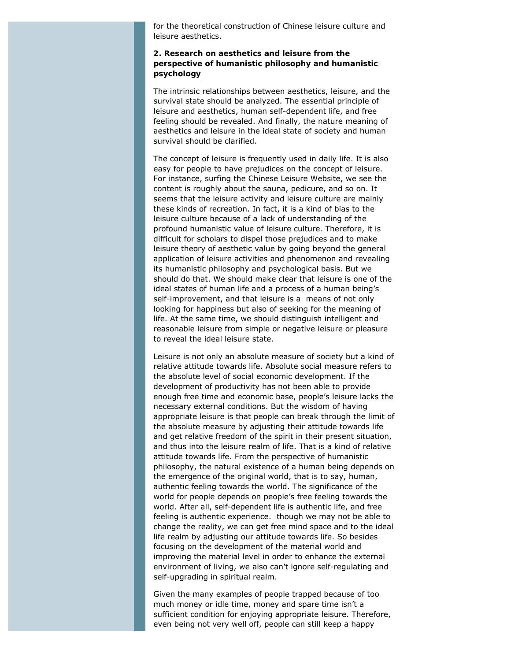for the theoretical construction of Chinese leisure culture and leisure aesthetics.

# **2. Research on aesthetics and leisure from the perspective of humanistic philosophy and humanistic psychology**

The intrinsic relationships between aesthetics, leisure, and the survival state should be analyzed. The essential principle of leisure and aesthetics, human self-dependent life, and free feeling should be revealed. And finally, the nature meaning of aesthetics and leisure in the ideal state of society and human survival should be clarified.

The concept of leisure is frequently used in daily life. It is also easy for people to have prejudices on the concept of leisure. For instance, surfing the Chinese Leisure Website, we see the content is roughly about the sauna, pedicure, and so on. It seems that the leisure activity and leisure culture are mainly these kinds of recreation. In fact, it is a kind of bias to the leisure culture because of a lack of understanding of the profound humanistic value of leisure culture. Therefore, it is difficult for scholars to dispel those prejudices and to make leisure theory of aesthetic value by going beyond the general application of leisure activities and phenomenon and revealing its humanistic philosophy and psychological basis. But we should do that. We should make clear that leisure is one of the ideal states of human life and a process of a human being's self-improvement, and that leisure is a means of not only looking for happiness but also of seeking for the meaning of life. At the same time, we should distinguish intelligent and reasonable leisure from simple or negative leisure or pleasure to reveal the ideal leisure state.

Leisure is not only an absolute measure of society but a kind of relative attitude towards life. Absolute social measure refers to the absolute level of social economic development. If the development of productivity has not been able to provide enough free time and economic base, people's leisure lacks the necessary external conditions. But the wisdom of having appropriate leisure is that people can break through the limit of the absolute measure by adjusting their attitude towards life and get relative freedom of the spirit in their present situation, and thus into the leisure realm of life. That is a kind of relative attitude towards life. From the perspective of humanistic philosophy, the natural existence of a human being depends on the emergence of the original world, that is to say, human, authentic feeling towards the world. The significance of the world for people depends on people's free feeling towards the world. After all, self-dependent life is authentic life, and free feeling is authentic experience. though we may not be able to change the reality, we can get free mind space and to the ideal life realm by adjusting our attitude towards life. So besides focusing on the development of the material world and improving the material level in order to enhance the external environment of living, we also can't ignore self-regulating and self-upgrading in spiritual realm.

Given the many examples of people trapped because of too much money or idle time, money and spare time isn't a sufficient condition for enjoying appropriate leisure. Therefore, even being not very well off, people can still keep a happy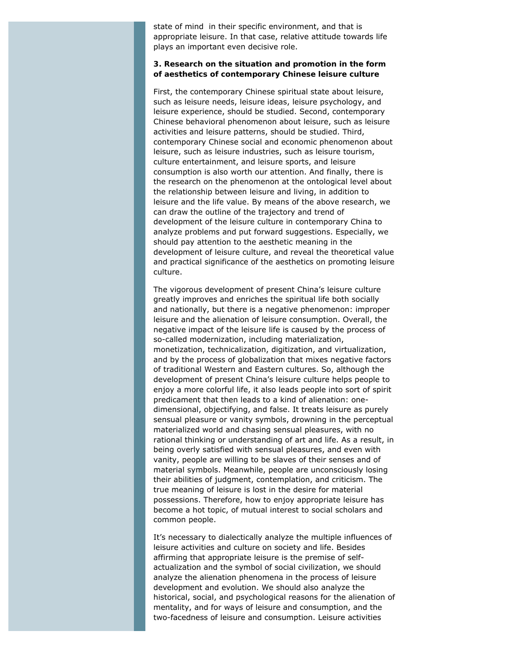state of mind in their specific environment, and that is appropriate leisure. In that case, relative attitude towards life plays an important even decisive role.

### **3. Research on the situation and promotion in the form of aesthetics of contemporary Chinese leisure culture**

First, the contemporary Chinese spiritual state about leisure, such as leisure needs, leisure ideas, leisure psychology, and leisure experience, should be studied. Second, contemporary Chinese behavioral phenomenon about leisure, such as leisure activities and leisure patterns, should be studied. Third, contemporary Chinese social and economic phenomenon about leisure, such as leisure industries, such as leisure tourism, culture entertainment, and leisure sports, and leisure consumption is also worth our attention. And finally, there is the research on the phenomenon at the ontological level about the relationship between leisure and living, in addition to leisure and the life value. By means of the above research, we can draw the outline of the trajectory and trend of development of the leisure culture in contemporary China to analyze problems and put forward suggestions. Especially, we should pay attention to the aesthetic meaning in the development of leisure culture, and reveal the theoretical value and practical significance of the aesthetics on promoting leisure culture.

The vigorous development of present China's leisure culture greatly improves and enriches the spiritual life both socially and nationally, but there is a negative phenomenon: improper leisure and the alienation of leisure consumption. Overall, the negative impact of the leisure life is caused by the process of so-called modernization, including materialization, monetization, technicalization, digitization, and virtualization, and by the process of globalization that mixes negative factors of traditional Western and Eastern cultures. So, although the development of present China's leisure culture helps people to enjoy a more colorful life, it also leads people into sort of spirit predicament that then leads to a kind of alienation: onedimensional, objectifying, and false. It treats leisure as purely sensual pleasure or vanity symbols, drowning in the perceptual materialized world and chasing sensual pleasures, with no rational thinking or understanding of art and life. As a result, in being overly satisfied with sensual pleasures, and even with vanity, people are willing to be slaves of their senses and of material symbols. Meanwhile, people are unconsciously losing their abilities of judgment, contemplation, and criticism. The true meaning of leisure is lost in the desire for material possessions. Therefore, how to enjoy appropriate leisure has become a hot topic, of mutual interest to social scholars and common people.

It's necessary to dialectically analyze the multiple influences of leisure activities and culture on society and life. Besides affirming that appropriate leisure is the premise of selfactualization and the symbol of social civilization, we should analyze the alienation phenomena in the process of leisure development and evolution. We should also analyze the historical, social, and psychological reasons for the alienation of mentality, and for ways of leisure and consumption, and the two-facedness of leisure and consumption. Leisure activities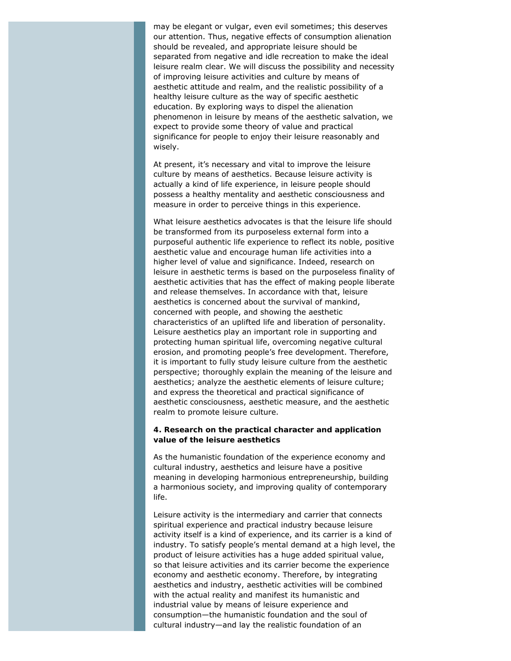may be elegant or vulgar, even evil sometimes; this deserves our attention. Thus, negative effects of consumption alienation should be revealed, and appropriate leisure should be separated from negative and idle recreation to make the ideal leisure realm clear. We will discuss the possibility and necessity of improving leisure activities and culture by means of aesthetic attitude and realm, and the realistic possibility of a healthy leisure culture as the way of specific aesthetic education. By exploring ways to dispel the alienation phenomenon in leisure by means of the aesthetic salvation, we expect to provide some theory of value and practical significance for people to enjoy their leisure reasonably and wisely.

At present, it's necessary and vital to improve the leisure culture by means of aesthetics. Because leisure activity is actually a kind of life experience, in leisure people should possess a healthy mentality and aesthetic consciousness and measure in order to perceive things in this experience.

What leisure aesthetics advocates is that the leisure life should be transformed from its purposeless external form into a purposeful authentic life experience to reflect its noble, positive aesthetic value and encourage human life activities into a higher level of value and significance. Indeed, research on leisure in aesthetic terms is based on the purposeless finality of aesthetic activities that has the effect of making people liberate and release themselves. In accordance with that, leisure aesthetics is concerned about the survival of mankind, concerned with people, and showing the aesthetic characteristics of an uplifted life and liberation of personality. Leisure aesthetics play an important role in supporting and protecting human spiritual life, overcoming negative cultural erosion, and promoting people's free development. Therefore, it is important to fully study leisure culture from the aesthetic perspective; thoroughly explain the meaning of the leisure and aesthetics; analyze the aesthetic elements of leisure culture; and express the theoretical and practical significance of aesthetic consciousness, aesthetic measure, and the aesthetic realm to promote leisure culture.

#### **4. Research on the practical character and application value of the leisure aesthetics**

As the humanistic foundation of the experience economy and cultural industry, aesthetics and leisure have a positive meaning in developing harmonious entrepreneurship, building a harmonious society, and improving quality of contemporary life.

Leisure activity is the intermediary and carrier that connects spiritual experience and practical industry because leisure activity itself is a kind of experience, and its carrier is a kind of industry. To satisfy people's mental demand at a high level, the product of leisure activities has a huge added spiritual value, so that leisure activities and its carrier become the experience economy and aesthetic economy. Therefore, by integrating aesthetics and industry, aesthetic activities will be combined with the actual reality and manifest its humanistic and industrial value by means of leisure experience and consumption—the humanistic foundation and the soul of cultural industry—and lay the realistic foundation of an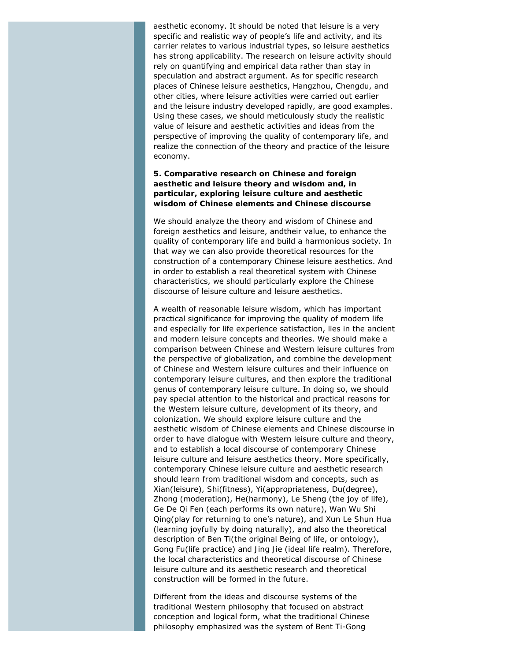aesthetic economy. It should be noted that leisure is a very specific and realistic way of people's life and activity, and its carrier relates to various industrial types, so leisure aesthetics has strong applicability. The research on leisure activity should rely on quantifying and empirical data rather than stay in speculation and abstract argument. As for specific research places of Chinese leisure aesthetics, Hangzhou, Chengdu, and other cities, where leisure activities were carried out earlier and the leisure industry developed rapidly, are good examples. Using these cases, we should meticulously study the realistic value of leisure and aesthetic activities and ideas from the perspective of improving the quality of contemporary life, and realize the connection of the theory and practice of the leisure economy.

### **5. Comparative research on Chinese and foreign aesthetic and leisure theory and wisdom and, in particular, exploring leisure culture and aesthetic wisdom of Chinese elements and Chinese discourse**

We should analyze the theory and wisdom of Chinese and foreign aesthetics and leisure, andtheir value, to enhance the quality of contemporary life and build a harmonious society. In that way we can also provide theoretical resources for the construction of a contemporary Chinese leisure aesthetics. And in order to establish a real theoretical system with Chinese characteristics, we should particularly explore the Chinese discourse of leisure culture and leisure aesthetics.

A wealth of reasonable leisure wisdom, which has important practical significance for improving the quality of modern life and especially for life experience satisfaction, lies in the ancient and modern leisure concepts and theories. We should make a comparison between Chinese and Western leisure cultures from the perspective of globalization, and combine the development of Chinese and Western leisure cultures and their influence on contemporary leisure cultures, and then explore the traditional genus of contemporary leisure culture. In doing so, we should pay special attention to the historical and practical reasons for the Western leisure culture, development of its theory, and colonization. We should explore leisure culture and the aesthetic wisdom of Chinese elements and Chinese discourse in order to have dialogue with Western leisure culture and theory, and to establish a local discourse of contemporary Chinese leisure culture and leisure aesthetics theory. More specifically, contemporary Chinese leisure culture and aesthetic research should learn from traditional wisdom and concepts, such as *Xian*(leisure), *Shi*(fitness), *Yi*(appropriateness, *Du*(degree), *Zhong* (moderation), *He*(harmony), *Le Sheng* (the joy of life), *Ge De Qi Fen* (each performs its own nature), *Wan Wu Shi Qing*(play for returning to one's nature), and *Xun Le Shun Hua* (learning joyfully by doing naturally), and also the theoretical description of *Ben Ti*(the original Being of life, or ontology), *Gong Fu*(life practice) and *Jing Jie* (ideal life realm). Therefore, the local characteristics and theoretical discourse of Chinese leisure culture and its aesthetic research and theoretical construction will be formed in the future.

Different from the ideas and discourse systems of the traditional Western philosophy that focused on abstract conception and logical form, what the traditional Chinese philosophy emphasized was the system of *Bent Ti*-*Gong*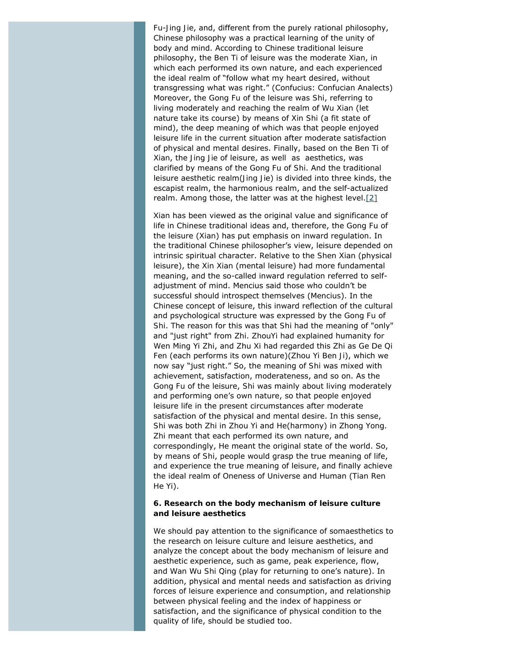*Fu*-*Jing Jie*, and, different from the purely rational philosophy, Chinese philosophy was a practical learning of the unity of body and mind. According to Chinese traditional leisure philosophy, the *Ben Ti* of leisure was the moderate Xian, in which each performed its own nature, and each experienced the ideal realm of "follow what my heart desired, without transgressing what was right." (Confucius: Confucian *Analects*) Moreover, the *Gong Fu* of the leisure was *Shi*, referring to living moderately and reaching the realm of *Wu Xian* (let nature take its course) by means of *Xin Shi* (a fit state of mind), the deep meaning of which was that people enjoyed leisure life in the current situation after moderate satisfaction of physical and mental desires. Finally, based on the *Ben Ti* of *Xian*, the *Jing Jie* of leisure, as well as aesthetics, was clarified by means of the *Gong Fu* of *Shi*. And the traditional leisure aesthetic realm(*Jing Jie*) is divided into three kinds, the escapist realm, the harmonious realm, and the self-actualized realm. Among those, the latter was at the highest level.<sup>[2]</sup>

<span id="page-6-0"></span>Xian has been viewed as the original value and significance of life in Chinese traditional ideas and, therefore, the *Gong Fu* of the leisure (*Xian*) has put emphasis on inward regulation. In the traditional Chinese philosopher's view, leisure depended on intrinsic spiritual character. Relative to the *Shen Xian* (physical leisure), the *Xin Xian* (mental leisure) had more fundamental meaning, and the so-called inward regulation referred to selfadjustment of mind. Mencius said those who couldn't be successful should introspect themselves (*Mencius*). In the Chinese concept of leisure, this inward reflection of the cultural and psychological structure was expressed by the *Gong Fu* of *Shi*. The reason for this was that *Shi* had the meaning of "only" and "just right" from *Zhi*. *ZhouYi* had explained humanity for Wen Ming Yi Zhi, and Zhu Xi had regarded this *Zhi* as *Ge De Qi Fen* (each performs its own nature)(*Zhou Yi Ben Ji*), which we now say "just right." So, the meaning of *Shi* was mixed with achievement, satisfaction, moderateness, and so on. As the *Gong Fu* of the leisure, *Shi* was mainly about living moderately and performing one's own nature, so that people enjoyed leisure life in the present circumstances after moderate satisfaction of the physical and mental desire. In this sense, *Shi* was both *Zhi* in *Zhou Yi* and *He*(harmony) in *Zhong Yong*. *Zhi* meant that each performed its own nature, and correspondingly, *He* meant the original state of the world. So, by means of *Shi*, people would grasp the true meaning of life, and experience the true meaning of leisure, and finally achieve the ideal realm of Oneness of Universe and Human (*Tian Ren He Yi*).

#### **6. Research on the body mechanism of leisure culture and leisure aesthetics**

We should pay attention to the significance of somaesthetics to the research on leisure culture and leisure aesthetics, and analyze the concept about the body mechanism of leisure and aesthetic experience, such as game, peak experience, flow, and *Wan Wu Shi Qing* (play for returning to one's nature). In addition, physical and mental needs and satisfaction as driving forces of leisure experience and consumption, and relationship between physical feeling and the index of happiness or satisfaction, and the significance of physical condition to the quality of life, should be studied too.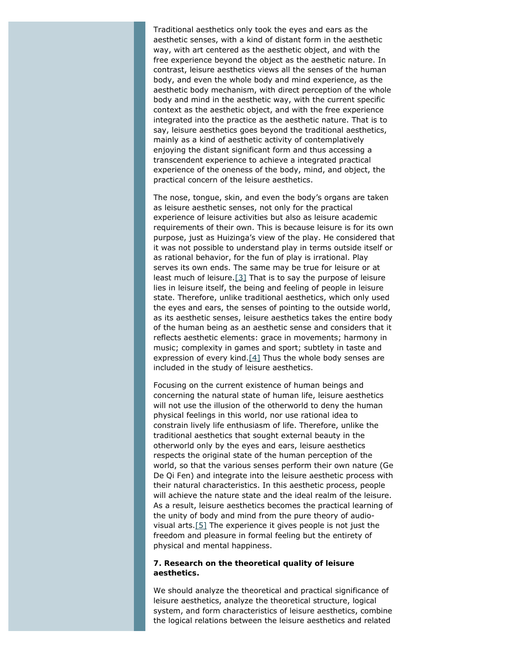Traditional aesthetics only took the eyes and ears as the aesthetic senses, with a kind of distant form in the aesthetic way, with art centered as the aesthetic object, and with the free experience beyond the object as the aesthetic nature. In contrast, leisure aesthetics views all the senses of the human body, and even the whole body and mind experience, as the aesthetic body mechanism, with direct perception of the whole body and mind in the aesthetic way, with the current specific context as the aesthetic object, and with the free experience integrated into the practice as the aesthetic nature. That is to say, leisure aesthetics goes beyond the traditional aesthetics, mainly as a kind of aesthetic activity of contemplatively enjoying the distant significant form and thus accessing a transcendent experience to achieve a integrated practical experience of the oneness of the body, mind, and object, the practical concern of the leisure aesthetics.

<span id="page-7-0"></span>The nose, tongue, skin, and even the body's organs are taken as leisure aesthetic senses, not only for the practical experience of leisure activities but also as leisure academic requirements of their own. This is because leisure is for its own purpose, just as Huizinga's view of the play. He considered that it was not possible to understand play in terms outside itself or as rational behavior, for the fun of play is irrational. Play serves its own ends. The same may be true for leisure or at least much of leisure.[\[3\]](#page-9-0) That is to say the purpose of leisure lies in leisure itself, the being and feeling of people in leisure state. Therefore, unlike traditional aesthetics, which only used the eyes and ears, the senses of pointing to the outside world, as its aesthetic senses, leisure aesthetics takes the entire body of the human being as an aesthetic sense and considers that it reflects aesthetic elements: grace in movements; harmony in music; complexity in games and sport; subtlety in taste and expression of every kind. $[4]$  Thus the whole body senses are included in the study of leisure aesthetics.

<span id="page-7-1"></span>Focusing on the current existence of human beings and concerning the natural state of human life, leisure aesthetics will not use the illusion of the otherworld to deny the human physical feelings in this world, nor use rational idea to constrain lively life enthusiasm of life. Therefore, unlike the traditional aesthetics that sought external beauty in the otherworld only by the eyes and ears, leisure aesthetics respects the original state of the human perception of the world, so that the various senses perform their own nature (*Ge De Qi Fen*) and integrate into the leisure aesthetic process with their natural characteristics. In this aesthetic process, people will achieve the nature state and the ideal realm of the leisure. As a result, leisure aesthetics becomes the practical learning of the unity of body and mind from the pure theory of audiovisual arts.[\[5\]](#page-9-2) The experience it gives people is not just the freedom and pleasure in formal feeling but the entirety of physical and mental happiness.

#### <span id="page-7-2"></span>**7. Research on the theoretical quality of leisure aesthetics.**

We should analyze the theoretical and practical significance of leisure aesthetics, analyze the theoretical structure, logical system, and form characteristics of leisure aesthetics, combine the logical relations between the leisure aesthetics and related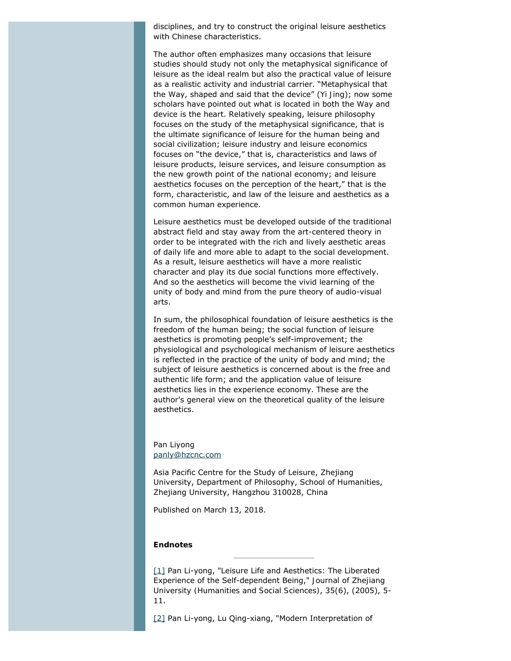disciplines, and try to construct the original leisure aesthetics with Chinese characteristics.

The author often emphasizes many occasions that leisure studies should study not only the metaphysical significance of leisure as the ideal realm but also the practical value of leisure as a realistic activity and industrial carrier. "Metaphysical that the Way, shaped and said that the device" (*Yi Jing*); now some scholars have pointed out what is located in both the Way and device is the heart. Relatively speaking, leisure philosophy focuses on the study of the metaphysical significance, that is the ultimate significance of leisure for the human being and social civilization; leisure industry and leisure economics focuses on "the device," that is, characteristics and laws of leisure products, leisure services, and leisure consumption as the new growth point of the national economy; and leisure aesthetics focuses on the perception of the heart," that is the form, characteristic, and law of the leisure and aesthetics as a common human experience.

Leisure aesthetics must be developed outside of the traditional abstract field and stay away from the art-centered theory in order to be integrated with the rich and lively aesthetic areas of daily life and more able to adapt to the social development. As a result, leisure aesthetics will have a more realistic character and play its due social functions more effectively. And so the aesthetics will become the vivid learning of the unity of body and mind from the pure theory of audio-visual arts.

In sum, the philosophical foundation of leisure aesthetics is the freedom of the human being; the social function of leisure aesthetics is promoting people's self-improvement; the physiological and psychological mechanism of leisure aesthetics is reflected in the practice of the unity of body and mind; the subject of leisure aesthetics is concerned about is the free and authentic life form; and the application value of leisure aesthetics lies in the experience economy. These are the author's general view on the theoretical quality of the leisure aesthetics.

# Pan Liyong [panly@hzcnc.com](mailto:panly@hzcnc.com)

Asia Pacific Centre for the Study of Leisure, Zhejiang University, Department of Philosophy, School of Humanities, Zhejiang University, Hangzhou 310028, China

Published on March 13, 2018.

#### **Endnotes**

<span id="page-8-0"></span>[\[1\]](#page-1-0) Pan Li-yong, "Leisure Life and Aesthetics: The Liberated Experience of the Self-dependent Being," *Journal of Zhejiang University (Humanities and Social Sciences)*, 35(6), (2005), 5- 11.

<span id="page-8-1"></span>[\[2\]](#page-6-0) Pan Li-yong, Lu Qing-xiang, "Modern Interpretation of